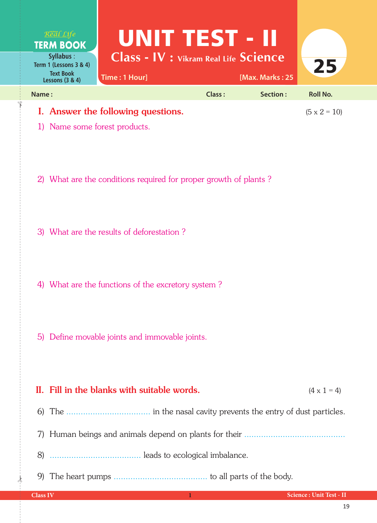

2) What are the conditions required for proper growth of plants ?

3) What are the results of deforestation ?

4) What are the functions of the excretory system ?

5) Define movable joints and immovable joints.

## II. Fill in the blanks with suitable words.  $(4 \times 1 = 4)$ 6) The ................................... in the nasal cavity prevents the entry of dust particles. 7) Human beings and animals depend on plants for their .......................................... 8) ...................................... leads to ecological imbalance. 9) The heart pumps ....................................... to all parts of the body.

 $\frac{1}{2}$